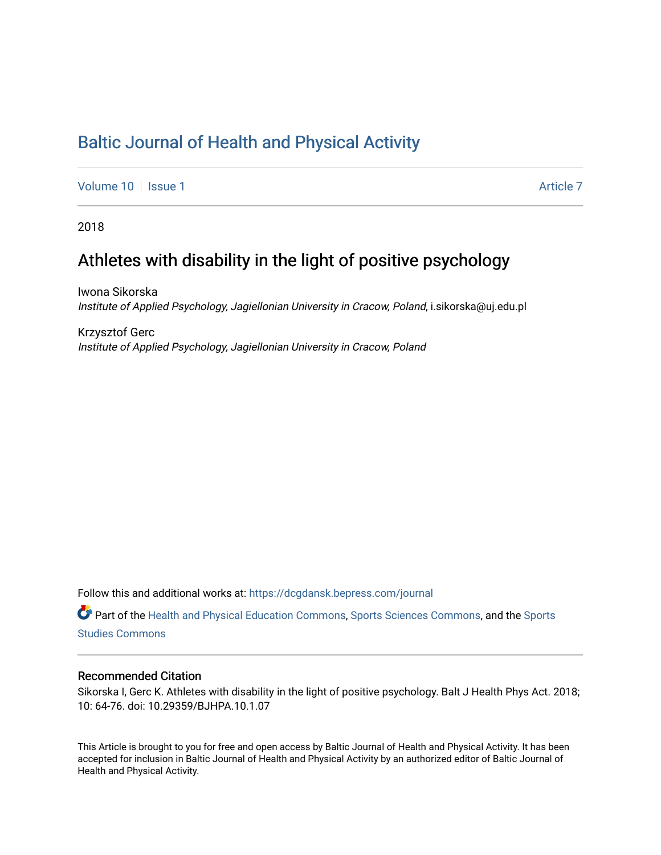# [Baltic Journal of Health and Physical Activity](https://dcgdansk.bepress.com/journal)

[Volume 10](https://dcgdansk.bepress.com/journal/vol10) | [Issue 1](https://dcgdansk.bepress.com/journal/vol10/iss1) Article 7

2018

# Athletes with disability in the light of positive psychology

Iwona Sikorska Institute of Applied Psychology, Jagiellonian University in Cracow, Poland, i.sikorska@uj.edu.pl

Krzysztof Gerc Institute of Applied Psychology, Jagiellonian University in Cracow, Poland

Follow this and additional works at: [https://dcgdansk.bepress.com/journal](https://dcgdansk.bepress.com/journal?utm_source=dcgdansk.bepress.com%2Fjournal%2Fvol10%2Fiss1%2F7&utm_medium=PDF&utm_campaign=PDFCoverPages)

Part of the [Health and Physical Education Commons](http://network.bepress.com/hgg/discipline/1327?utm_source=dcgdansk.bepress.com%2Fjournal%2Fvol10%2Fiss1%2F7&utm_medium=PDF&utm_campaign=PDFCoverPages), [Sports Sciences Commons](http://network.bepress.com/hgg/discipline/759?utm_source=dcgdansk.bepress.com%2Fjournal%2Fvol10%2Fiss1%2F7&utm_medium=PDF&utm_campaign=PDFCoverPages), and the [Sports](http://network.bepress.com/hgg/discipline/1198?utm_source=dcgdansk.bepress.com%2Fjournal%2Fvol10%2Fiss1%2F7&utm_medium=PDF&utm_campaign=PDFCoverPages)  [Studies Commons](http://network.bepress.com/hgg/discipline/1198?utm_source=dcgdansk.bepress.com%2Fjournal%2Fvol10%2Fiss1%2F7&utm_medium=PDF&utm_campaign=PDFCoverPages) 

#### Recommended Citation

Sikorska I, Gerc K. Athletes with disability in the light of positive psychology. Balt J Health Phys Act. 2018; 10: 64-76. doi: 10.29359/BJHPA.10.1.07

This Article is brought to you for free and open access by Baltic Journal of Health and Physical Activity. It has been accepted for inclusion in Baltic Journal of Health and Physical Activity by an authorized editor of Baltic Journal of Health and Physical Activity.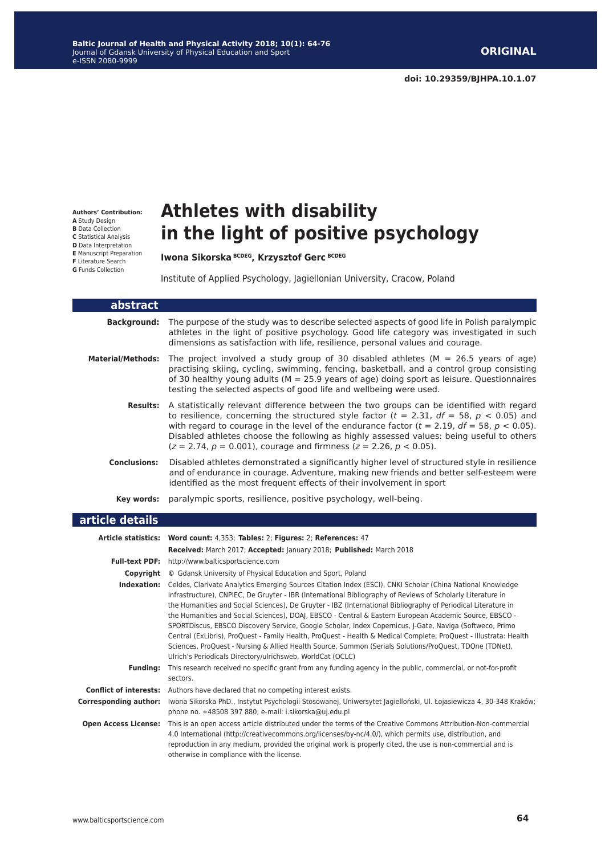**Authors' Contribution: A** Study Design **B** Data Collection **C** Statistical Analysis **D** Data Interpretation **E** Manuscript Preparation **F** Literature Search **G** Funds Collection

# **Athletes with disability in the light of positive psychology**

**Iwona Sikorska BCDEG, Krzysztof Gerc BCDEG**

Institute of Applied Psychology, Jagiellonian University, Cracow, Poland

| abstract                     |                                                                                                                                                                                                                                                                                                                                                                                                                                                                                                                                                                                                                                                                                                                                                 |
|------------------------------|-------------------------------------------------------------------------------------------------------------------------------------------------------------------------------------------------------------------------------------------------------------------------------------------------------------------------------------------------------------------------------------------------------------------------------------------------------------------------------------------------------------------------------------------------------------------------------------------------------------------------------------------------------------------------------------------------------------------------------------------------|
| <b>Background:</b>           | The purpose of the study was to describe selected aspects of good life in Polish paralympic<br>athletes in the light of positive psychology. Good life category was investigated in such<br>dimensions as satisfaction with life, resilience, personal values and courage.                                                                                                                                                                                                                                                                                                                                                                                                                                                                      |
| <b>Material/Methods:</b>     | The project involved a study group of 30 disabled athletes ( $M = 26.5$ years of age)<br>practising skiing, cycling, swimming, fencing, basketball, and a control group consisting<br>of 30 healthy young adults ( $M = 25.9$ years of age) doing sport as leisure. Questionnaires<br>testing the selected aspects of good life and wellbeing were used.                                                                                                                                                                                                                                                                                                                                                                                        |
| <b>Results:</b>              | A statistically relevant difference between the two groups can be identified with regard<br>to resilience, concerning the structured style factor ( $t = 2.31$ , $df = 58$ , $p < 0.05$ ) and<br>with regard to courage in the level of the endurance factor ( $t = 2.19$ , $df = 58$ , $p < 0.05$ ).<br>Disabled athletes choose the following as highly assessed values: being useful to others<br>$(z = 2.74, p = 0.001)$ , courage and firmness ( $z = 2.26, p < 0.05$ ).                                                                                                                                                                                                                                                                   |
| <b>Conclusions:</b>          | Disabled athletes demonstrated a significantly higher level of structured style in resilience<br>and of endurance in courage. Adventure, making new friends and better self-esteem were<br>identified as the most frequent effects of their involvement in sport                                                                                                                                                                                                                                                                                                                                                                                                                                                                                |
| Key words:                   | paralympic sports, resilience, positive psychology, well-being.                                                                                                                                                                                                                                                                                                                                                                                                                                                                                                                                                                                                                                                                                 |
| article details              |                                                                                                                                                                                                                                                                                                                                                                                                                                                                                                                                                                                                                                                                                                                                                 |
|                              |                                                                                                                                                                                                                                                                                                                                                                                                                                                                                                                                                                                                                                                                                                                                                 |
|                              | Article statistics: Word count: 4,353; Tables: 2; Figures: 2; References: 47                                                                                                                                                                                                                                                                                                                                                                                                                                                                                                                                                                                                                                                                    |
|                              | Received: March 2017; Accepted: January 2018; Published: March 2018                                                                                                                                                                                                                                                                                                                                                                                                                                                                                                                                                                                                                                                                             |
|                              | Full-text PDF: http://www.balticsportscience.com                                                                                                                                                                                                                                                                                                                                                                                                                                                                                                                                                                                                                                                                                                |
|                              | <b>Copyright</b> © Gdansk University of Physical Education and Sport, Poland                                                                                                                                                                                                                                                                                                                                                                                                                                                                                                                                                                                                                                                                    |
|                              | Indexation: Celdes, Clarivate Analytics Emerging Sources Citation Index (ESCI), CNKI Scholar (China National Knowledge                                                                                                                                                                                                                                                                                                                                                                                                                                                                                                                                                                                                                          |
|                              | Infrastructure), CNPIEC, De Gruyter - IBR (International Bibliography of Reviews of Scholarly Literature in<br>the Humanities and Social Sciences), De Gruyter - IBZ (International Bibliography of Periodical Literature in<br>the Humanities and Social Sciences), DOAI, EBSCO - Central & Eastern European Academic Source, EBSCO -<br>SPORTDiscus, EBSCO Discovery Service, Google Scholar, Index Copernicus, J-Gate, Naviga (Softweco, Primo<br>Central (ExLibris), ProQuest - Family Health, ProQuest - Health & Medical Complete, ProQuest - Illustrata: Health<br>Sciences, ProQuest - Nursing & Allied Health Source, Summon (Serials Solutions/ProQuest, TDOne (TDNet),<br>Ulrich's Periodicals Directory/ulrichsweb, WorldCat (OCLC) |
| <b>Funding:</b>              | This research received no specific grant from any funding agency in the public, commercial, or not-for-profit<br>sectors.                                                                                                                                                                                                                                                                                                                                                                                                                                                                                                                                                                                                                       |
|                              | <b>Conflict of interests:</b> Authors have declared that no competing interest exists.                                                                                                                                                                                                                                                                                                                                                                                                                                                                                                                                                                                                                                                          |
| <b>Corresponding author:</b> | Iwona Sikorska PhD., Instytut Psychologii Stosowanej, Uniwersytet Jagielloński, Ul. Łojasiewicza 4, 30-348 Kraków;<br>phone no. +48508 397 880; e-mail: i.sikorska@uj.edu.pl                                                                                                                                                                                                                                                                                                                                                                                                                                                                                                                                                                    |

**Open Access License:** This is an open access article distributed under the terms of the Creative Commons Attribution-Non-commercial 4.0 International (http://creativecommons.org/licenses/by-nc/4.0/), which permits use, distribution, and reproduction in any medium, provided the original work is properly cited, the use is non-commercial and is otherwise in compliance with the license.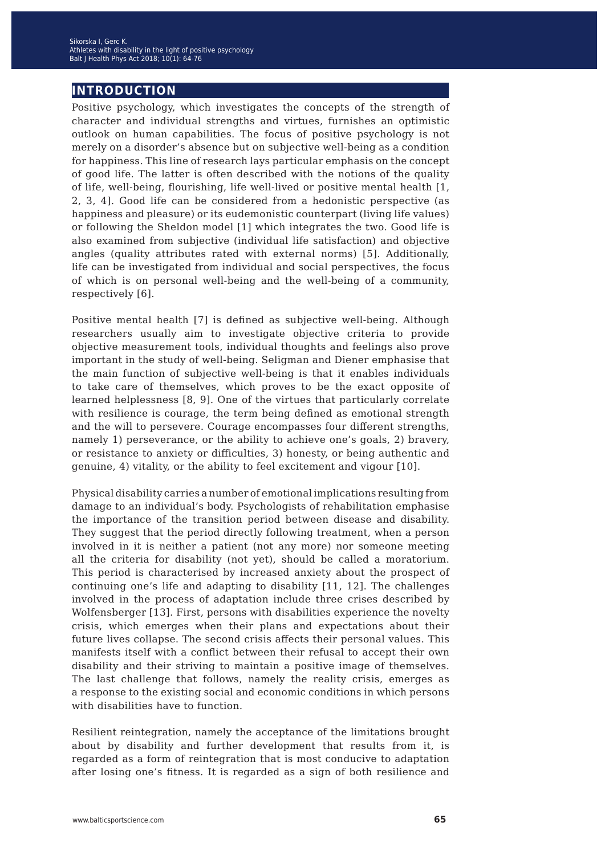# **introduction**

Positive psychology, which investigates the concepts of the strength of character and individual strengths and virtues, furnishes an optimistic outlook on human capabilities. The focus of positive psychology is not merely on a disorder's absence but on subjective well-being as a condition for happiness. This line of research lays particular emphasis on the concept of good life. The latter is often described with the notions of the quality of life, well-being, flourishing, life well-lived or positive mental health [1, 2, 3, 4]. Good life can be considered from a hedonistic perspective (as happiness and pleasure) or its eudemonistic counterpart (living life values) or following the Sheldon model [1] which integrates the two. Good life is also examined from subjective (individual life satisfaction) and objective angles (quality attributes rated with external norms) [5]. Additionally, life can be investigated from individual and social perspectives, the focus of which is on personal well-being and the well-being of a community, respectively [6].

Positive mental health [7] is defined as subjective well-being. Although researchers usually aim to investigate objective criteria to provide objective measurement tools, individual thoughts and feelings also prove important in the study of well-being. Seligman and Diener emphasise that the main function of subjective well-being is that it enables individuals to take care of themselves, which proves to be the exact opposite of learned helplessness [8, 9]. One of the virtues that particularly correlate with resilience is courage, the term being defined as emotional strength and the will to persevere. Courage encompasses four different strengths, namely 1) perseverance, or the ability to achieve one's goals, 2) bravery, or resistance to anxiety or difficulties, 3) honesty, or being authentic and genuine, 4) vitality, or the ability to feel excitement and vigour [10].

Physical disability carries a number of emotional implications resulting from damage to an individual's body. Psychologists of rehabilitation emphasise the importance of the transition period between disease and disability. They suggest that the period directly following treatment, when a person involved in it is neither a patient (not any more) nor someone meeting all the criteria for disability (not yet), should be called a moratorium. This period is characterised by increased anxiety about the prospect of continuing one's life and adapting to disability [11, 12]. The challenges involved in the process of adaptation include three crises described by Wolfensberger [13]. First, persons with disabilities experience the novelty crisis, which emerges when their plans and expectations about their future lives collapse. The second crisis affects their personal values. This manifests itself with a conflict between their refusal to accept their own disability and their striving to maintain a positive image of themselves. The last challenge that follows, namely the reality crisis, emerges as a response to the existing social and economic conditions in which persons with disabilities have to function.

Resilient reintegration, namely the acceptance of the limitations brought about by disability and further development that results from it, is regarded as a form of reintegration that is most conducive to adaptation after losing one's fitness. It is regarded as a sign of both resilience and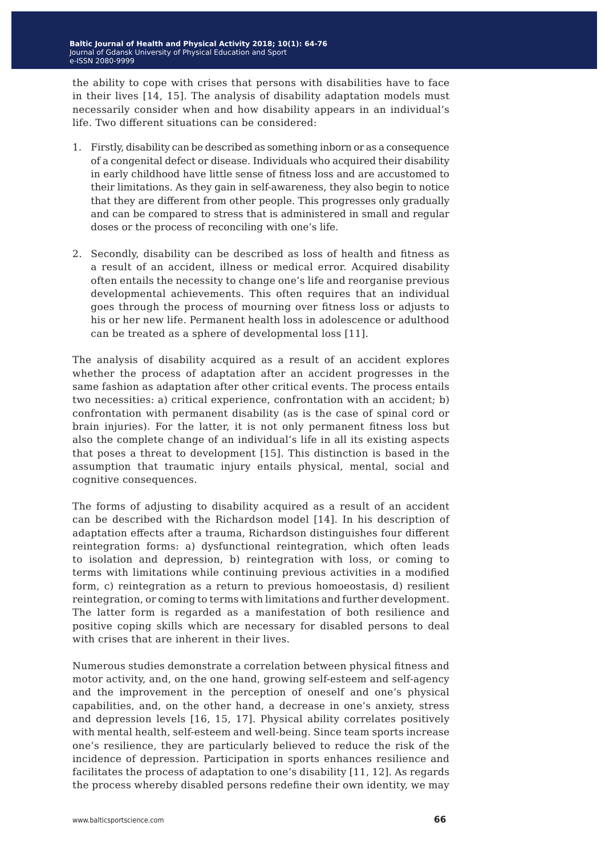the ability to cope with crises that persons with disabilities have to face in their lives [14, 15]. The analysis of disability adaptation models must necessarily consider when and how disability appears in an individual's life. Two different situations can be considered:

- 1. Firstly, disability can be described as something inborn or as a consequence of a congenital defect or disease. Individuals who acquired their disability in early childhood have little sense of fitness loss and are accustomed to their limitations. As they gain in self-awareness, they also begin to notice that they are different from other people. This progresses only gradually and can be compared to stress that is administered in small and regular doses or the process of reconciling with one's life.
- 2. Secondly, disability can be described as loss of health and fitness as a result of an accident, illness or medical error. Acquired disability often entails the necessity to change one's life and reorganise previous developmental achievements. This often requires that an individual goes through the process of mourning over fitness loss or adjusts to his or her new life. Permanent health loss in adolescence or adulthood can be treated as a sphere of developmental loss [11].

The analysis of disability acquired as a result of an accident explores whether the process of adaptation after an accident progresses in the same fashion as adaptation after other critical events. The process entails two necessities: a) critical experience, confrontation with an accident; b) confrontation with permanent disability (as is the case of spinal cord or brain injuries). For the latter, it is not only permanent fitness loss but also the complete change of an individual's life in all its existing aspects that poses a threat to development [15]. This distinction is based in the assumption that traumatic injury entails physical, mental, social and cognitive consequences.

The forms of adjusting to disability acquired as a result of an accident can be described with the Richardson model [14]. In his description of adaptation effects after a trauma, Richardson distinguishes four different reintegration forms: a) dysfunctional reintegration, which often leads to isolation and depression, b) reintegration with loss, or coming to terms with limitations while continuing previous activities in a modified form, c) reintegration as a return to previous homoeostasis, d) resilient reintegration, or coming to terms with limitations and further development. The latter form is regarded as a manifestation of both resilience and positive coping skills which are necessary for disabled persons to deal with crises that are inherent in their lives.

Numerous studies demonstrate a correlation between physical fitness and motor activity, and, on the one hand, growing self-esteem and self-agency and the improvement in the perception of oneself and one's physical capabilities, and, on the other hand, a decrease in one's anxiety, stress and depression levels [16, 15, 17]. Physical ability correlates positively with mental health, self-esteem and well-being. Since team sports increase one's resilience, they are particularly believed to reduce the risk of the incidence of depression. Participation in sports enhances resilience and facilitates the process of adaptation to one's disability [11, 12]. As regards the process whereby disabled persons redefine their own identity, we may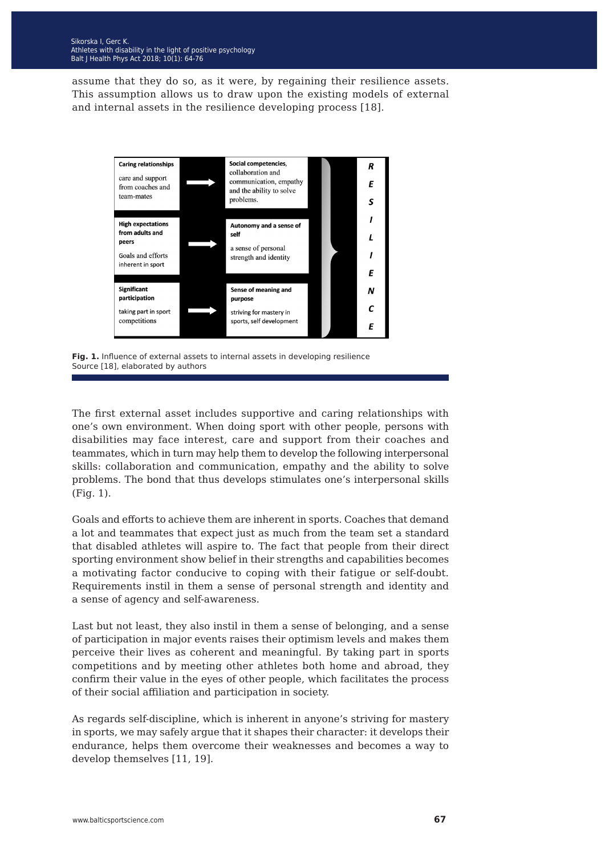assume that they do so, as it were, by regaining their resilience assets. This assumption allows us to draw upon the existing models of external and internal assets in the resilience developing process [18].



**Fig. 1.** Influence of external assets to internal assets in developing resilience Source [18], elaborated by authors

The first external asset includes supportive and caring relationships with one's own environment. When doing sport with other people, persons with disabilities may face interest, care and support from their coaches and teammates, which in turn may help them to develop the following interpersonal skills: collaboration and communication, empathy and the ability to solve problems. The bond that thus develops stimulates one's interpersonal skills (Fig. 1).

Goals and efforts to achieve them are inherent in sports. Coaches that demand a lot and teammates that expect just as much from the team set a standard that disabled athletes will aspire to. The fact that people from their direct sporting environment show belief in their strengths and capabilities becomes a motivating factor conducive to coping with their fatigue or self-doubt. Requirements instil in them a sense of personal strength and identity and a sense of agency and self-awareness.

Last but not least, they also instil in them a sense of belonging, and a sense of participation in major events raises their optimism levels and makes them perceive their lives as coherent and meaningful. By taking part in sports competitions and by meeting other athletes both home and abroad, they confirm their value in the eyes of other people, which facilitates the process of their social affiliation and participation in society.

As regards self-discipline, which is inherent in anyone's striving for mastery in sports, we may safely argue that it shapes their character: it develops their endurance, helps them overcome their weaknesses and becomes a way to develop themselves [11, 19].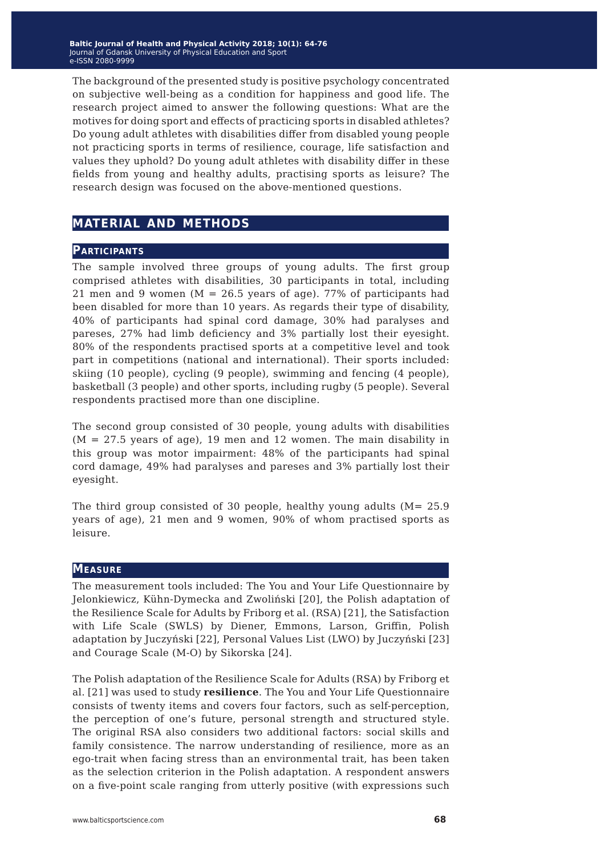The background of the presented study is positive psychology concentrated on subjective well-being as a condition for happiness and good life. The research project aimed to answer the following questions: What are the motives for doing sport and effects of practicing sports in disabled athletes? Do young adult athletes with disabilities differ from disabled young people not practicing sports in terms of resilience, courage, life satisfaction and values they uphold? Do young adult athletes with disability differ in these fields from young and healthy adults, practising sports as leisure? The research design was focused on the above-mentioned questions.

# **material and methods**

#### **Participants**

The sample involved three groups of young adults. The first group comprised athletes with disabilities, 30 participants in total, including 21 men and 9 women ( $M = 26.5$  years of age). 77% of participants had been disabled for more than 10 years. As regards their type of disability, 40% of participants had spinal cord damage, 30% had paralyses and pareses, 27% had limb deficiency and 3% partially lost their eyesight. 80% of the respondents practised sports at a competitive level and took part in competitions (national and international). Their sports included: skiing (10 people), cycling (9 people), swimming and fencing (4 people), basketball (3 people) and other sports, including rugby (5 people). Several respondents practised more than one discipline.

The second group consisted of 30 people, young adults with disabilities  $(M = 27.5$  years of age), 19 men and 12 women. The main disability in this group was motor impairment: 48% of the participants had spinal cord damage, 49% had paralyses and pareses and 3% partially lost their eyesight.

The third group consisted of 30 people, healthy young adults  $(M=25.9)$ years of age), 21 men and 9 women, 90% of whom practised sports as leisure.

#### **Measure**

The measurement tools included: The You and Your Life Questionnaire by Jelonkiewicz, Kühn-Dymecka and Zwoliński [20], the Polish adaptation of the Resilience Scale for Adults by Friborg et al. (RSA) [21], the Satisfaction with Life Scale (SWLS) by Diener, Emmons, Larson, Griffin, Polish adaptation by Juczyński [22], Personal Values List (LWO) by Juczyński [23] and Courage Scale (M-O) by Sikorska [24].

The Polish adaptation of the Resilience Scale for Adults (RSA) by Friborg et al. [21] was used to study **resilience**. The You and Your Life Questionnaire consists of twenty items and covers four factors, such as self-perception, the perception of one's future, personal strength and structured style. The original RSA also considers two additional factors: social skills and family consistence. The narrow understanding of resilience, more as an ego-trait when facing stress than an environmental trait, has been taken as the selection criterion in the Polish adaptation. A respondent answers on a five-point scale ranging from utterly positive (with expressions such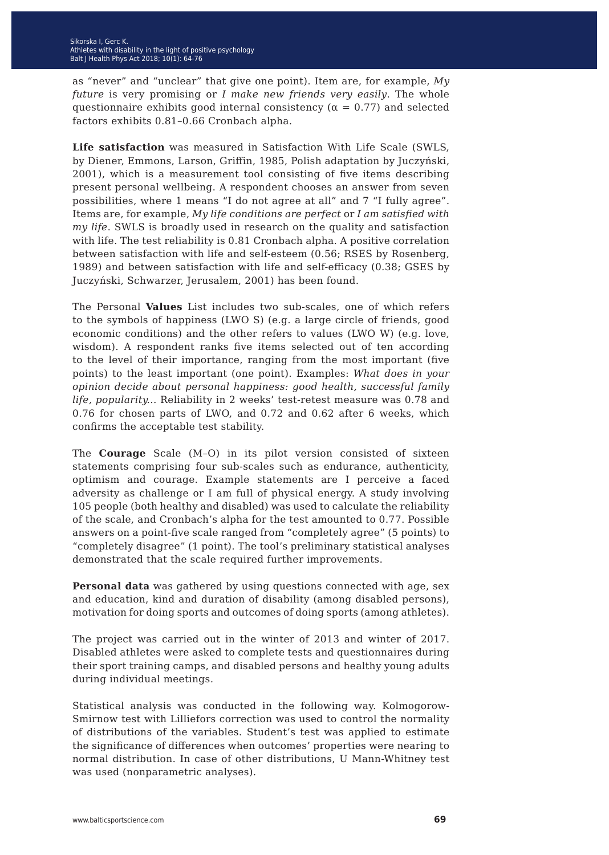as "never" and "unclear" that give one point). Item are, for example, *My future* is very promising or *I make new friends very easily*. The whole questionnaire exhibits good internal consistency ( $\alpha = 0.77$ ) and selected factors exhibits 0.81–0.66 Cronbach alpha.

**Life satisfaction** was measured in Satisfaction With Life Scale (SWLS, by Diener, Emmons, Larson, Griffin, 1985, Polish adaptation by Juczyński, 2001), which is a measurement tool consisting of five items describing present personal wellbeing. A respondent chooses an answer from seven possibilities, where 1 means "I do not agree at all" and 7 "I fully agree". Items are, for example, *My life conditions are perfect* or *I am satisfied with my life*. SWLS is broadly used in research on the quality and satisfaction with life. The test reliability is 0.81 Cronbach alpha. A positive correlation between satisfaction with life and self-esteem (0.56; RSES by Rosenberg, 1989) and between satisfaction with life and self-efficacy (0.38; GSES by Juczyński, Schwarzer, Jerusalem, 2001) has been found.

The Personal **Values** List includes two sub-scales, one of which refers to the symbols of happiness (LWO S) (e.g. a large circle of friends, good economic conditions) and the other refers to values (LWO W) (e.g. love, wisdom). A respondent ranks five items selected out of ten according to the level of their importance, ranging from the most important (five points) to the least important (one point). Examples: *What does in your opinion decide about personal happiness: good health, successful family life, popularity...* Reliability in 2 weeks' test-retest measure was 0.78 and 0.76 for chosen parts of LWO, and 0.72 and 0.62 after 6 weeks, which confirms the acceptable test stability.

The **Courage** Scale (M–O) in its pilot version consisted of sixteen statements comprising four sub-scales such as endurance, authenticity, optimism and courage. Example statements are I perceive a faced adversity as challenge or I am full of physical energy. A study involving 105 people (both healthy and disabled) was used to calculate the reliability of the scale, and Cronbach's alpha for the test amounted to 0.77. Possible answers on a point-five scale ranged from "completely agree" (5 points) to "completely disagree" (1 point). The tool's preliminary statistical analyses demonstrated that the scale required further improvements.

**Personal data** was gathered by using questions connected with age, sex and education, kind and duration of disability (among disabled persons), motivation for doing sports and outcomes of doing sports (among athletes).

The project was carried out in the winter of 2013 and winter of 2017. Disabled athletes were asked to complete tests and questionnaires during their sport training camps, and disabled persons and healthy young adults during individual meetings.

Statistical analysis was conducted in the following way. Kolmogorow-Smirnow test with Lilliefors correction was used to control the normality of distributions of the variables. Student's test was applied to estimate the significance of differences when outcomes' properties were nearing to normal distribution. In case of other distributions, U Mann-Whitney test was used (nonparametric analyses).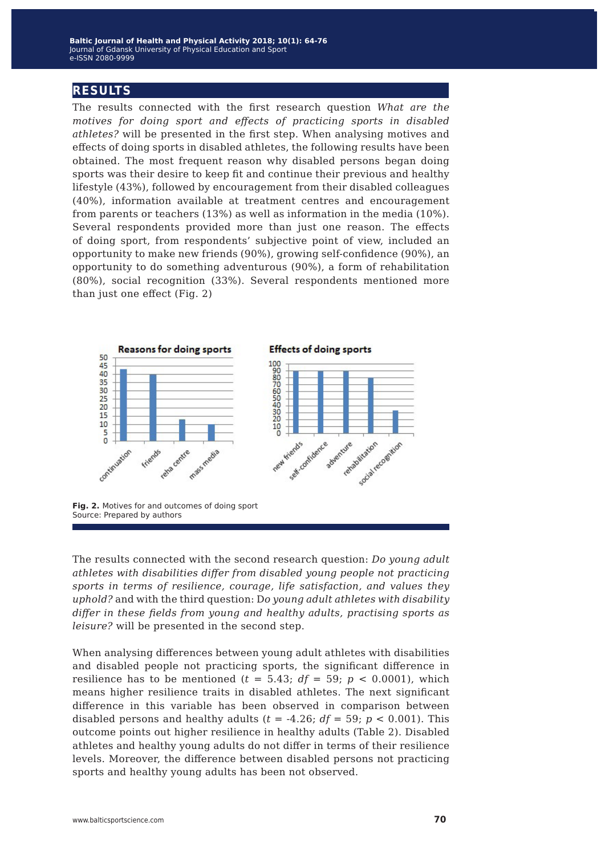## **results**

The results connected with the first research question *What are the motives for doing sport and effects of practicing sports in disabled athletes?* will be presented in the first step. When analysing motives and effects of doing sports in disabled athletes, the following results have been obtained. The most frequent reason why disabled persons began doing sports was their desire to keep fit and continue their previous and healthy lifestyle (43%), followed by encouragement from their disabled colleagues (40%), information available at treatment centres and encouragement from parents or teachers (13%) as well as information in the media (10%). Several respondents provided more than just one reason. The effects of doing sport, from respondents' subjective point of view, included an opportunity to make new friends (90%), growing self-confidence (90%), an opportunity to do something adventurous (90%), a form of rehabilitation (80%), social recognition (33%). Several respondents mentioned more than just one effect (Fig. 2)



**Fig. 2.** Motives for and outcomes of doing sport Source: Prepared by authors

The results connected with the second research question: *Do young adult athletes with disabilities differ from disabled young people not practicing sports in terms of resilience, courage, life satisfaction, and values they uphold?* and with the third question: D*o young adult athletes with disability differ in these fields from young and healthy adults, practising sports as leisure?* will be presented in the second step.

When analysing differences between young adult athletes with disabilities and disabled people not practicing sports, the significant difference in resilience has to be mentioned  $(t = 5.43; df = 59; p < 0.0001)$ , which means higher resilience traits in disabled athletes. The next significant difference in this variable has been observed in comparison between disabled persons and healthy adults ( $t = -4.26$ ;  $df = 59$ ;  $p < 0.001$ ). This outcome points out higher resilience in healthy adults (Table 2). Disabled athletes and healthy young adults do not differ in terms of their resilience levels. Moreover, the difference between disabled persons not practicing sports and healthy young adults has been not observed.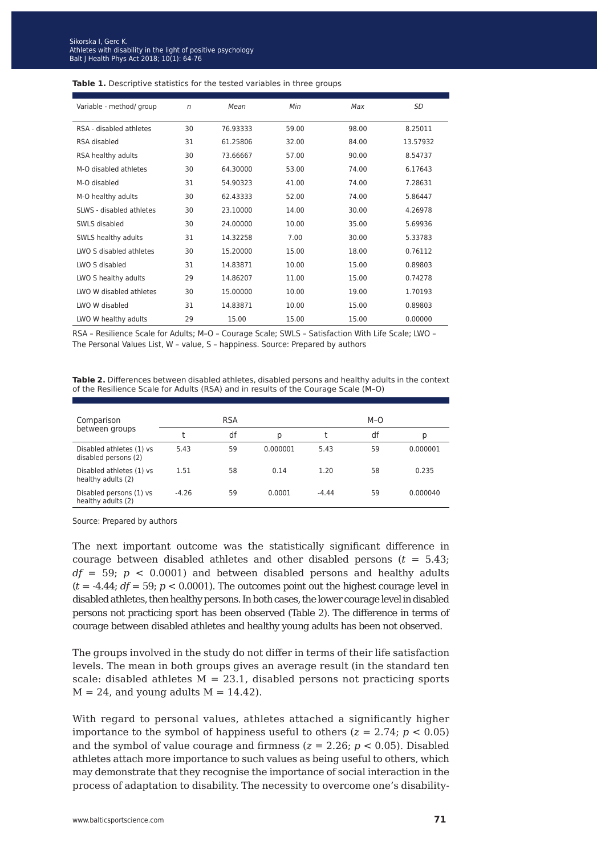| Variable - method/ group | n  | Mean     | Min   | Max   | SD       |
|--------------------------|----|----------|-------|-------|----------|
| RSA - disabled athletes  | 30 | 76.93333 | 59.00 | 98.00 | 8.25011  |
| RSA disabled             | 31 | 61.25806 | 32.00 | 84.00 | 13.57932 |
| RSA healthy adults       | 30 | 73.66667 | 57.00 | 90.00 | 8.54737  |
| M-O disabled athletes    | 30 | 64.30000 | 53.00 | 74.00 | 6.17643  |
| M-O disabled             | 31 | 54.90323 | 41.00 | 74.00 | 7.28631  |
| M-O healthy adults       | 30 | 62.43333 | 52.00 | 74.00 | 5.86447  |
| SLWS - disabled athletes | 30 | 23.10000 | 14.00 | 30.00 | 4.26978  |
| SWLS disabled            | 30 | 24.00000 | 10.00 | 35.00 | 5.69936  |
| SWLS healthy adults      | 31 | 14.32258 | 7.00  | 30.00 | 5.33783  |
| LWO S disabled athletes  | 30 | 15.20000 | 15.00 | 18.00 | 0.76112  |
| LWO S disabled           | 31 | 14.83871 | 10.00 | 15.00 | 0.89803  |
| LWO S healthy adults     | 29 | 14.86207 | 11.00 | 15.00 | 0.74278  |
| LWO W disabled athletes  | 30 | 15.00000 | 10.00 | 19.00 | 1.70193  |
| LWO W disabled           | 31 | 14.83871 | 10.00 | 15.00 | 0.89803  |
| LWO W healthy adults     | 29 | 15.00    | 15.00 | 15.00 | 0.00000  |

#### Table 1. Descriptive statistics for the tested variables in three groups

RSA – Resilience Scale for Adults; M–O – Courage Scale; SWLS – Satisfaction With Life Scale; LWO – The Personal Values List, W – value, S – happiness. Source: Prepared by authors

**Table 2.** Differences between disabled athletes, disabled persons and healthy adults in the context of the Resilience Scale for Adults (RSA) and in results of the Courage Scale (M–O)

| Comparison                                       |         | <b>RSA</b> |          |         | $M-O$ |          |
|--------------------------------------------------|---------|------------|----------|---------|-------|----------|
| between groups                                   |         | df         | Ŋ        |         | df    | р        |
| Disabled athletes (1) vs<br>disabled persons (2) | 5.43    | 59         | 0.000001 | 5.43    | 59    | 0.000001 |
| Disabled athletes (1) vs<br>healthy adults (2)   | 1.51    | 58         | 0.14     | 1.20    | 58    | 0.235    |
| Disabled persons (1) vs<br>healthy adults (2)    | $-4.26$ | 59         | 0.0001   | $-4.44$ | 59    | 0.000040 |

Source: Prepared by authors

The next important outcome was the statistically significant difference in courage between disabled athletes and other disabled persons (*t* = 5.43;  $df = 59$ ;  $p < 0.0001$ ) and between disabled persons and healthy adults  $(t = 4.44; df = 59; p < 0.0001)$ . The outcomes point out the highest courage level in disabled athletes, then healthy persons. In both cases, the lower courage level in disabled persons not practicing sport has been observed (Table 2). The difference in terms of courage between disabled athletes and healthy young adults has been not observed.

The groups involved in the study do not differ in terms of their life satisfaction levels. The mean in both groups gives an average result (in the standard ten scale: disabled athletes  $M = 23.1$ , disabled persons not practicing sports  $M = 24$ , and young adults  $M = 14.42$ ).

With regard to personal values, athletes attached a significantly higher importance to the symbol of happiness useful to others  $(z = 2.74; p < 0.05)$ and the symbol of value courage and firmness  $(z = 2.26; p < 0.05)$ . Disabled athletes attach more importance to such values as being useful to others, which may demonstrate that they recognise the importance of social interaction in the process of adaptation to disability. The necessity to overcome one's disability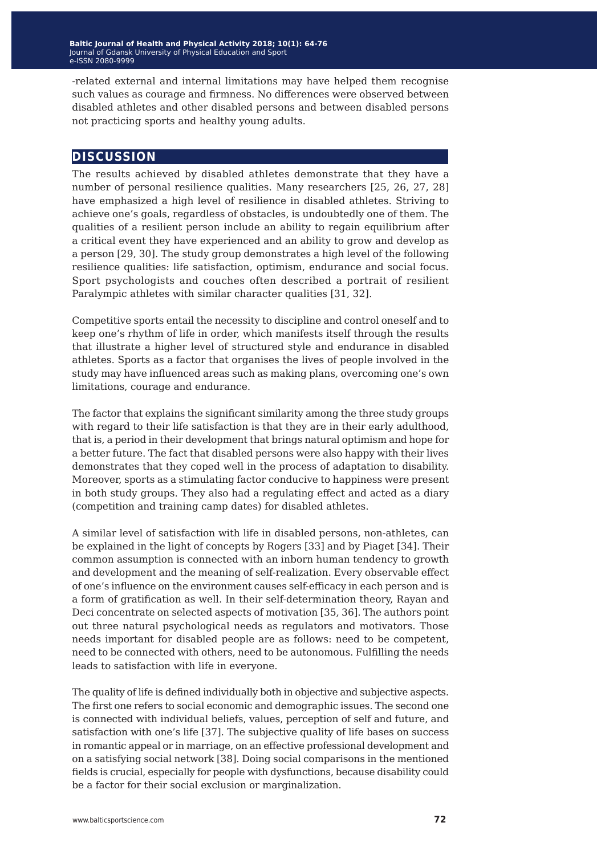-related external and internal limitations may have helped them recognise such values as courage and firmness. No differences were observed between disabled athletes and other disabled persons and between disabled persons not practicing sports and healthy young adults.

### **discussion**

The results achieved by disabled athletes demonstrate that they have a number of personal resilience qualities. Many researchers [25, 26, 27, 28] have emphasized a high level of resilience in disabled athletes. Striving to achieve one's goals, regardless of obstacles, is undoubtedly one of them. The qualities of a resilient person include an ability to regain equilibrium after a critical event they have experienced and an ability to grow and develop as a person [29, 30]. The study group demonstrates a high level of the following resilience qualities: life satisfaction, optimism, endurance and social focus. Sport psychologists and couches often described a portrait of resilient Paralympic athletes with similar character qualities [31, 32].

Competitive sports entail the necessity to discipline and control oneself and to keep one's rhythm of life in order, which manifests itself through the results that illustrate a higher level of structured style and endurance in disabled athletes. Sports as a factor that organises the lives of people involved in the study may have influenced areas such as making plans, overcoming one's own limitations, courage and endurance.

The factor that explains the significant similarity among the three study groups with regard to their life satisfaction is that they are in their early adulthood, that is, a period in their development that brings natural optimism and hope for a better future. The fact that disabled persons were also happy with their lives demonstrates that they coped well in the process of adaptation to disability. Moreover, sports as a stimulating factor conducive to happiness were present in both study groups. They also had a regulating effect and acted as a diary (competition and training camp dates) for disabled athletes.

A similar level of satisfaction with life in disabled persons, non-athletes, can be explained in the light of concepts by Rogers [33] and by Piaget [34]. Their common assumption is connected with an inborn human tendency to growth and development and the meaning of self-realization. Every observable effect of one's influence on the environment causes self-efficacy in each person and is a form of gratification as well. In their self-determination theory, Rayan and Deci concentrate on selected aspects of motivation [35, 36]. The authors point out three natural psychological needs as regulators and motivators. Those needs important for disabled people are as follows: need to be competent, need to be connected with others, need to be autonomous. Fulfilling the needs leads to satisfaction with life in everyone.

The quality of life is defined individually both in objective and subjective aspects. The first one refers to social economic and demographic issues. The second one is connected with individual beliefs, values, perception of self and future, and satisfaction with one's life [37]. The subjective quality of life bases on success in romantic appeal or in marriage, on an effective professional development and on a satisfying social network [38]. Doing social comparisons in the mentioned fields is crucial, especially for people with dysfunctions, because disability could be a factor for their social exclusion or marginalization.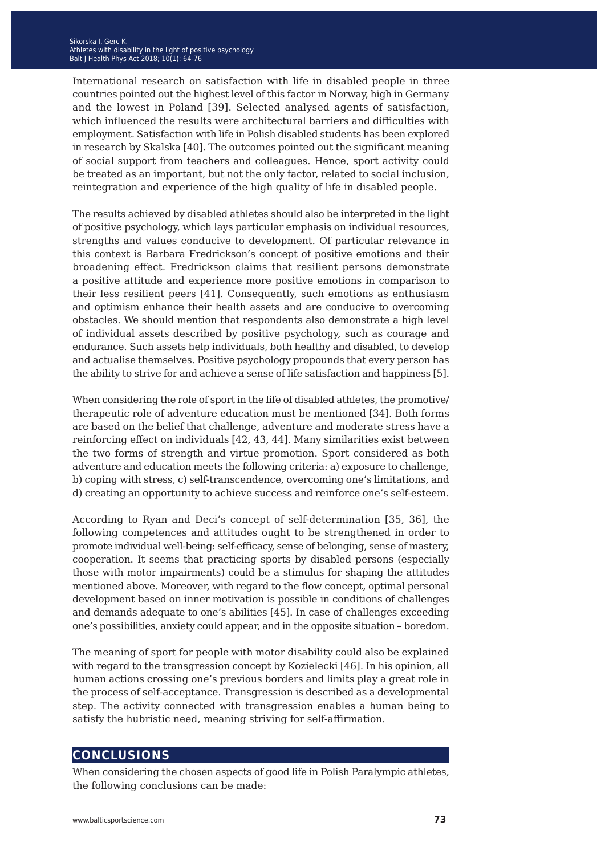International research on satisfaction with life in disabled people in three countries pointed out the highest level of this factor in Norway, high in Germany and the lowest in Poland [39]. Selected analysed agents of satisfaction, which influenced the results were architectural barriers and difficulties with employment. Satisfaction with life in Polish disabled students has been explored in research by Skalska [40]. The outcomes pointed out the significant meaning of social support from teachers and colleagues. Hence, sport activity could be treated as an important, but not the only factor, related to social inclusion, reintegration and experience of the high quality of life in disabled people.

The results achieved by disabled athletes should also be interpreted in the light of positive psychology, which lays particular emphasis on individual resources, strengths and values conducive to development. Of particular relevance in this context is Barbara Fredrickson's concept of positive emotions and their broadening effect. Fredrickson claims that resilient persons demonstrate a positive attitude and experience more positive emotions in comparison to their less resilient peers [41]. Consequently, such emotions as enthusiasm and optimism enhance their health assets and are conducive to overcoming obstacles. We should mention that respondents also demonstrate a high level of individual assets described by positive psychology, such as courage and endurance. Such assets help individuals, both healthy and disabled, to develop and actualise themselves. Positive psychology propounds that every person has the ability to strive for and achieve a sense of life satisfaction and happiness [5].

When considering the role of sport in the life of disabled athletes, the promotive/ therapeutic role of adventure education must be mentioned [34]. Both forms are based on the belief that challenge, adventure and moderate stress have a reinforcing effect on individuals [42, 43, 44]. Many similarities exist between the two forms of strength and virtue promotion. Sport considered as both adventure and education meets the following criteria: a) exposure to challenge, b) coping with stress, c) self-transcendence, overcoming one's limitations, and d) creating an opportunity to achieve success and reinforce one's self-esteem.

According to Ryan and Deci's concept of self-determination [35, 36], the following competences and attitudes ought to be strengthened in order to promote individual well-being: self-efficacy, sense of belonging, sense of mastery, cooperation. It seems that practicing sports by disabled persons (especially those with motor impairments) could be a stimulus for shaping the attitudes mentioned above. Moreover, with regard to the flow concept, optimal personal development based on inner motivation is possible in conditions of challenges and demands adequate to one's abilities [45]. In case of challenges exceeding one's possibilities, anxiety could appear, and in the opposite situation – boredom.

The meaning of sport for people with motor disability could also be explained with regard to the transgression concept by Kozielecki [46]. In his opinion, all human actions crossing one's previous borders and limits play a great role in the process of self-acceptance. Transgression is described as a developmental step. The activity connected with transgression enables a human being to satisfy the hubristic need, meaning striving for self-affirmation.

# **conclusions**

When considering the chosen aspects of good life in Polish Paralympic athletes, the following conclusions can be made: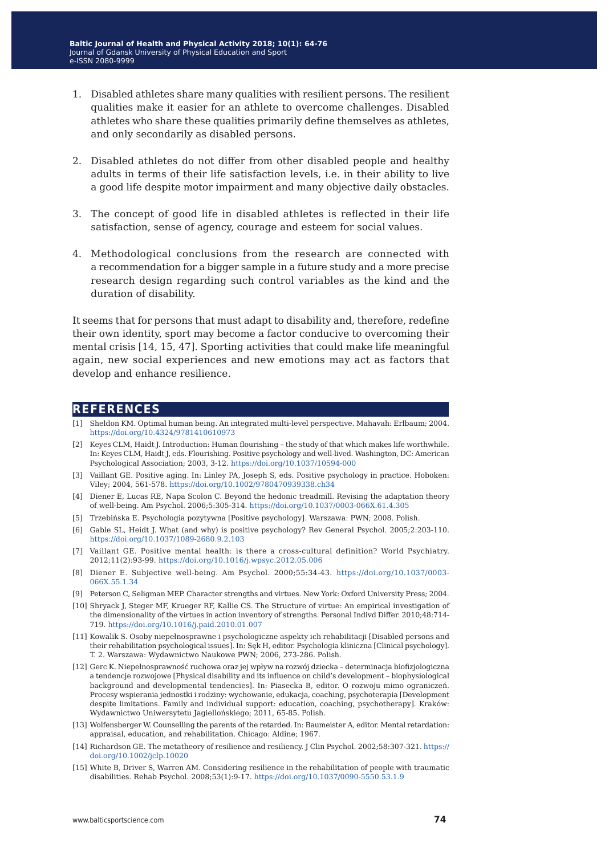- 1. Disabled athletes share many qualities with resilient persons. The resilient qualities make it easier for an athlete to overcome challenges. Disabled athletes who share these qualities primarily define themselves as athletes, and only secondarily as disabled persons.
- 2. Disabled athletes do not differ from other disabled people and healthy adults in terms of their life satisfaction levels, i.e. in their ability to live a good life despite motor impairment and many objective daily obstacles.
- 3. The concept of good life in disabled athletes is reflected in their life satisfaction, sense of agency, courage and esteem for social values.
- 4. Methodological conclusions from the research are connected with a recommendation for a bigger sample in a future study and a more precise research design regarding such control variables as the kind and the duration of disability.

It seems that for persons that must adapt to disability and, therefore, redefine their own identity, sport may become a factor conducive to overcoming their mental crisis [14, 15, 47]. Sporting activities that could make life meaningful again, new social experiences and new emotions may act as factors that develop and enhance resilience.

#### **references**

- [1] Sheldon KM. Optimal human being. An integrated multi-level perspective. Mahavah: Erlbaum; 2004. <https://doi.org/10.4324/9781410610973>
- [2] Keyes CLM, Haidt J. Introduction: Human flourishing the study of that which makes life worthwhile. In: Keyes CLM, Haidt J, eds. Flourishing. Positive psychology and well-lived. Washington, DC: American Psychological Association; 2003, 3-12. <https://doi.org/10.1037/10594-000>
- [3] Vaillant GE. Positive aging. In: Linley PA, Joseph S, eds. Positive psychology in practice. Hoboken: Viley; 2004, 561-578. <https://doi.org/10.1002/9780470939338.ch34>
- [4] Diener E, Lucas RE, Napa Scolon C. Beyond the hedonic treadmill. Revising the adaptation theory of well-being. Am Psychol. 2006;5:305-314.<https://doi.org/10.1037/0003-066X.61.4.305>
- [5] Trzebińska E. Psychologia pozytywna [Positive psychology]. Warszawa: PWN; 2008. Polish.
- [6] Gable SL, Heidt J. What (and why) is positive psychology? Rev General Psychol. 2005;2:203-110. <https://doi.org/10.1037/1089-2680.9.2.103>
- [7] Vaillant GE. Positive mental health: is there a cross-cultural definition? World Psychiatry. 2012;11(2):93-99.<https://doi.org/10.1016/j.wpsyc.2012.05.006>
- [8] Diener E. Subjective well-being. Am Psychol. 2000;55:34-43. [https://doi.org/10.1037/0003-](https://doi.org/10.1037/0003-066X.55.1.34) [066X.55.1.34](https://doi.org/10.1037/0003-066X.55.1.34)
- [9] Peterson C, Seligman MEP. Character strengths and virtues. New York: Oxford University Press; 2004.
- [10] Shryack J, Steger MF, Krueger RF, Kallie CS. The Structure of virtue: An empirical investigation of the dimensionality of the virtues in action inventory of strengths. Personal Indivd Differ. 2010;48:714- 719. <https://doi.org/10.1016/j.paid.2010.01.007>
- [11] Kowalik S. Osoby niepełnosprawne i psychologiczne aspekty ich rehabilitacji [Disabled persons and their rehabilitation psychological issues]. In: Sęk H, editor. Psychologia kliniczna [Clinical psychology]. T. 2. Warszawa: Wydawnictwo Naukowe PWN; 2006, 273-286. Polish.
- [12] Gerc K. Niepełnosprawność ruchowa oraz jej wpływ na rozwój dziecka determinacja biofizjologiczna a tendencje rozwojowe [Physical disability and its influence on child's development – biophysiological background and developmental tendencies]. In: Piasecka B, editor. O rozwoju mimo ograniczeń. Procesy wspierania jednostki i rodziny: wychowanie, edukacja, coaching, psychoterapia [Development despite limitations. Family and individual support: education, coaching, psychotherapy]. Kraków: Wydawnictwo Uniwersytetu Jagiellońskiego; 2011, 65-85. Polish.
- [13] Wolfensberger W. Counselling the parents of the retarded. In: Baumeister A, editor. Mental retardation: appraisal, education, and rehabilitation. Chicago: Aldine; 1967.
- [14] Richardson GE. The metatheory of resilience and resiliency. J Clin Psychol. 2002;58:307-321. [https://](https://doi.org/10.1002/jclp.10020) [doi.org/10.1002/jclp.10020](https://doi.org/10.1002/jclp.10020)
- [15] White B, Driver S, Warren AM. Considering resilience in the rehabilitation of people with traumatic disabilities. Rehab Psychol. 2008;53(1):9-17. <https://doi.org/10.1037/0090-5550.53.1.9>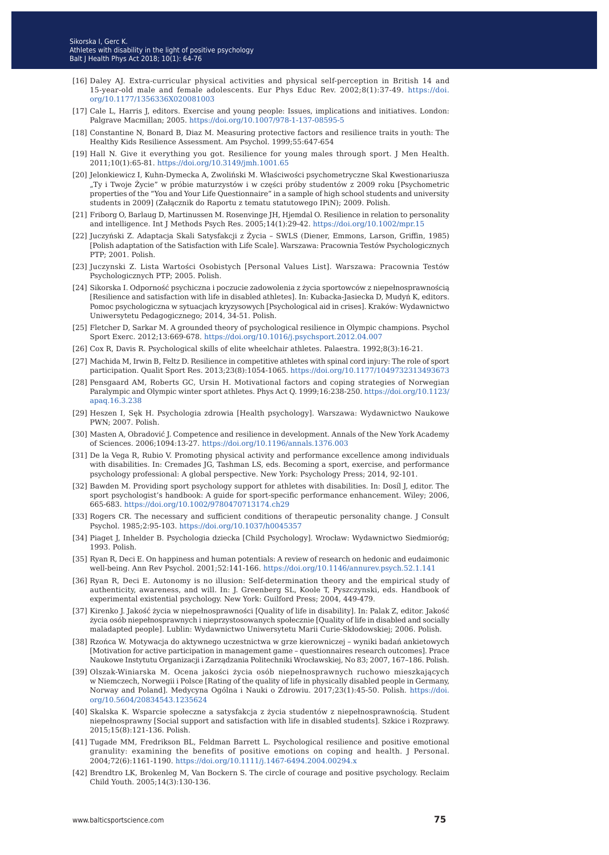- [16] Daley AJ. Extra-curricular physical activities and physical self-perception in British 14 and 15-year-old male and female adolescents. Eur Phys Educ Rev. 2002;8(1):37-49. [https://doi.](https://doi.org/10.1177/1356336X020081003) [org/10.1177/1356336X020081003](https://doi.org/10.1177/1356336X020081003)
- [17] Cale L, Harris J, editors. Exercise and young people: Issues, implications and initiatives. London: Palgrave Macmillan; 2005.<https://doi.org/10.1007/978-1-137-08595-5>
- [18] Constantine N, Bonard B, Diaz M. Measuring protective factors and resilience traits in youth: The Healthy Kids Resilience Assessment. Am Psychol. 1999;55:647-654
- [19] Hall N. Give it everything you got. Resilience for young males through sport. J Men Health. 2011;10(1):65-81. <https://doi.org/10.3149/jmh.1001.65>
- [20] Jelonkiewicz I, Kuhn-Dymecka A, Zwoliński M. Właściwości psychometryczne Skal Kwestionariusza "Ty i Twoje Życie" w próbie maturzystów i w części próby studentów z 2009 roku [Psychometric properties of the "You and Your Life Questionnaire" in a sample of high school students and university students in 2009] (Załącznik do Raportu z tematu statutowego IPiN); 2009. Polish.
- [21] Friborg O, Barlaug D, Martinussen M. Rosenvinge JH, Hjemdal O. Resilience in relation to personality and intelligence. Int J Methods Psych Res. 2005;14(1):29-42. <https://doi.org/10.1002/mpr.15>
- [22] Juczyński Z. Adaptacja Skali Satysfakcji z Życia SWLS (Diener, Emmons, Larson, Griffin, 1985) [Polish adaptation of the Satisfaction with Life Scale]. Warszawa: Pracownia Testów Psychologicznych PTP; 2001. Polish.
- [23] Juczynski Z. Lista Wartości Osobistych [Personal Values List]. Warszawa: Pracownia Testów Psychologicznych PTP; 2005. Polish.
- [24] Sikorska I. Odporność psychiczna i poczucie zadowolenia z życia sportowców z niepełnosprawnością [Resilience and satisfaction with life in disabled athletes]. In: Kubacka-Jasiecka D, Mudyń K, editors. Pomoc psychologiczna w sytuacjach kryzysowych [Psychological aid in crises]. Kraków: Wydawnictwo Uniwersytetu Pedagogicznego; 2014, 34-51. Polish.
- [25] Fletcher D, Sarkar M. A grounded theory of psychological resilience in Olympic champions. Psychol Sport Exerc. 2012;13:669-678. <https://doi.org/10.1016/j.psychsport.2012.04.007>
- [26] Cox R, Davis R. Psychological skills of elite wheelchair athletes. Palaestra. 1992;8(3):16-21.
- [27] Machida M, Irwin B, Feltz D. Resilience in competitive athletes with spinal cord injury: The role of sport participation. Qualit Sport Res. 2013;23(8):1054-1065.<https://doi.org/10.1177/1049732313493673>
- [28] Pensgaard AM, Roberts GC, Ursin H. Motivational factors and coping strategies of Norwegian Paralympic and Olympic winter sport athletes. Phys Act Q. 1999;16:238-250. [https://doi.org/10.1123/](https://doi.org/10.1123/apaq.16.3.238) [apaq.16.3.238](https://doi.org/10.1123/apaq.16.3.238)
- [29] Heszen I, Sęk H. Psychologia zdrowia [Health psychology]. Warszawa: Wydawnictwo Naukowe PWN; 2007. Polish.
- [30] Masten A, Obradović J. Competence and resilience in development. Annals of the New York Academy of Sciences. 2006;1094:13-27. <https://doi.org/10.1196/annals.1376.003>
- [31] De la Vega R, Rubio V. Promoting physical activity and performance excellence among individuals with disabilities. In: Cremades JG, Tashman LS, eds. Becoming a sport, exercise, and performance psychology professional: A global perspective. New York: Psychology Press; 2014, 92-101.
- [32] Bawden M. Providing sport psychology support for athletes with disabilities. In: Dosíl J, editor. The sport psychologist's handbook: A guide for sport-specific performance enhancement. Wiley; 2006, 665-683.<https://doi.org/10.1002/9780470713174.ch29>
- [33] Rogers CR. The necessary and sufficient conditions of therapeutic personality change. J Consult Psychol. 1985;2:95-103.<https://doi.org/10.1037/h0045357>
- [34] Piaget J, Inhelder B. Psychologia dziecka [Child Psychology]. Wrocław: Wydawnictwo Siedmioróg; 1993. Polish.
- [35] Ryan R, Deci E. On happiness and human potentials: A review of research on hedonic and eudaimonic well-being. Ann Rev Psychol. 2001;52:141-166.<https://doi.org/10.1146/annurev.psych.52.1.141>
- [36] Ryan R, Deci E. Autonomy is no illusion: Self-determination theory and the empirical study of authenticity, awareness, and will. In: J. Greenberg SL, Koole T, Pyszczynski, eds. Handbook of experimental existential psychology. New York: Guilford Press; 2004, 449-479.
- [37] Kirenko J. Jakość życia w niepełnosprawności [Quality of life in disability]. In: Palak Z, editor. Jakość życia osób niepełnosprawnych i nieprzystosowanych społecznie [Quality of life in disabled and socially maladapted people]. Lublin: Wydawnictwo Uniwersytetu Marii Curie-Skłodowskiej; 2006. Polish.
- [38] Rzońca W. Motywacja do aktywnego uczestnictwa w grze kierowniczej wyniki badań ankietowych [Motivation for active participation in management game – questionnaires research outcomes]. Prace Naukowe Instytutu Organizacji i Zarządzania Politechniki Wrocławskiej, No 83; 2007, 167–186. Polish.
- [39] Olszak-Winiarska M. Ocena jakości życia osób niepełnosprawnych ruchowo mieszkających w Niemczech, Norwegii i Polsce [Rating of the quality of life in physically disabled people in Germany, Norway and Poland]. Medycyna Ogólna i Nauki o Zdrowiu. 2017;23(1):45-50. Polish. [https://doi.](https://doi.org/10.5604/20834543.1235624) [org/10.5604/20834543.1235624](https://doi.org/10.5604/20834543.1235624)
- [40] Skalska K. Wsparcie społeczne a satysfakcja z życia studentów z niepełnosprawnością. Student niepełnosprawny [Social support and satisfaction with life in disabled students]. Szkice i Rozprawy. 2015;15(8):121-136. Polish.
- [41] Tugade MM, Fredrikson BL, Feldman Barrett L. Psychological resilience and positive emotional granulity: examining the benefits of positive emotions on coping and health. J Personal. 2004;72(6):1161-1190[. https://doi.org/10.1111/j.1467-6494.2004.00294.x](https://doi.org/10.1111/j.1467-6494.2004.00294.x)
- [42] Brendtro LK, Brokenleg M, Van Bockern S. The circle of courage and positive psychology. Reclaim Child Youth. 2005;14(3):130-136.